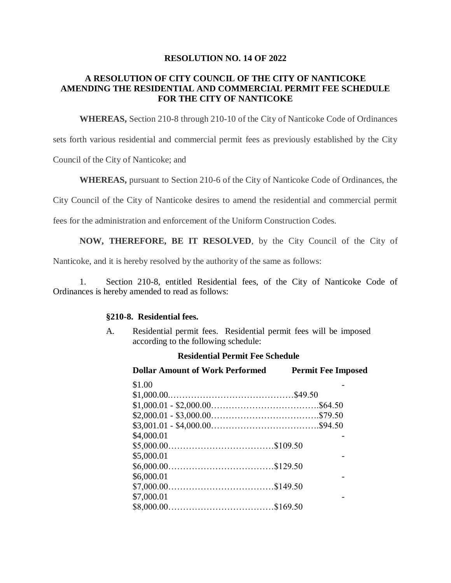### **RESOLUTION NO. 14 OF 2022**

## **A RESOLUTION OF CITY COUNCIL OF THE CITY OF NANTICOKE AMENDING THE RESIDENTIAL AND COMMERCIAL PERMIT FEE SCHEDULE FOR THE CITY OF NANTICOKE**

**WHEREAS,** Section 210-8 through 210-10 of the City of Nanticoke Code of Ordinances

sets forth various residential and commercial permit fees as previously established by the City

Council of the City of Nanticoke; and

**WHEREAS,** pursuant to Section 210-6 of the City of Nanticoke Code of Ordinances, the

City Council of the City of Nanticoke desires to amend the residential and commercial permit

fees for the administration and enforcement of the Uniform Construction Codes.

**NOW, THEREFORE, BE IT RESOLVED**, by the City Council of the City of

Nanticoke, and it is hereby resolved by the authority of the same as follows:

1. Section 210-8, entitled Residential fees, of the City of Nanticoke Code of Ordinances is hereby amended to read as follows:

#### **§210-8. Residential fees.**

A. Residential permit fees. Residential permit fees will be imposed according to the following schedule:

#### **Residential Permit Fee Schedule**

| <b>Dollar Amount of Work Performed</b> | <b>Permit Fee Imposed</b> |
|----------------------------------------|---------------------------|
| \$1.00                                 |                           |
|                                        |                           |
|                                        |                           |
|                                        |                           |
|                                        |                           |
| \$4,000.01                             |                           |
|                                        |                           |
| \$5,000.01                             |                           |
|                                        |                           |
| \$6,000.01                             |                           |
|                                        |                           |
| \$7,000.01                             |                           |
|                                        |                           |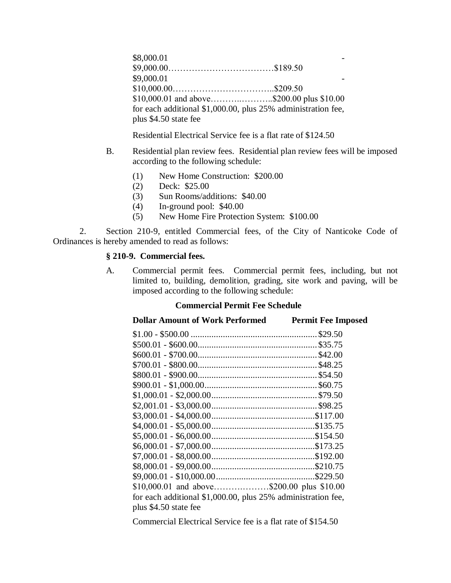\$8,000.01 \$9,000.00………………………………\$189.50  $$9,000.01$ \$10,000.00……………………………..\$209.50 \$10,000.01 and above………..………..\$200.00 plus \$10.00 for each additional \$1,000.00, plus 25% administration fee, plus \$4.50 state fee

Residential Electrical Service fee is a flat rate of \$124.50

- B. Residential plan review fees. Residential plan review fees will be imposed according to the following schedule:
	- (1) New Home Construction: \$200.00
	- (2) Deck: \$25.00
	- (3) Sun Rooms/additions: \$40.00
	- (4) In-ground pool: \$40.00
	- (5) New Home Fire Protection System: \$100.00

2. Section 210-9, entitled Commercial fees, of the City of Nanticoke Code of Ordinances is hereby amended to read as follows:

### **§ 210-9. Commercial fees.**

A. Commercial permit fees. Commercial permit fees, including, but not limited to, building, demolition, grading, site work and paving, will be imposed according to the following schedule:

# **Commercial Permit Fee Schedule**

| <b>Dollar Amount of Work Performed</b><br><b>Permit Fee Imposed</b> |  |
|---------------------------------------------------------------------|--|
|                                                                     |  |
|                                                                     |  |
|                                                                     |  |
|                                                                     |  |
|                                                                     |  |
|                                                                     |  |
|                                                                     |  |
|                                                                     |  |
|                                                                     |  |
|                                                                     |  |
|                                                                     |  |
|                                                                     |  |
|                                                                     |  |
|                                                                     |  |
| $$9,000.01 - $10,000.00 \dots$                                      |  |
| \$10,000.01 and above\$200.00 plus \$10.00                          |  |
| for each additional \$1,000.00, plus 25% administration fee,        |  |
|                                                                     |  |
|                                                                     |  |

Commercial Electrical Service fee is a flat rate of \$154.50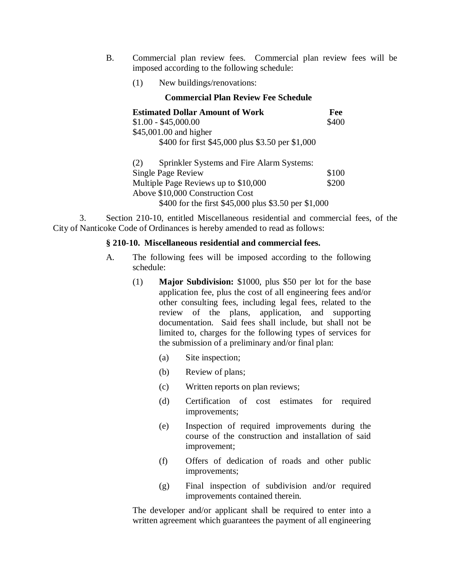- B. Commercial plan review fees. Commercial plan review fees will be imposed according to the following schedule:
	- (1) New buildings/renovations:

| <b>Commercial Plan Review Fee Schedule</b>           |       |  |
|------------------------------------------------------|-------|--|
| <b>Estimated Dollar Amount of Work</b>               | Fee   |  |
| $$1.00 - $45,000.00$                                 | \$400 |  |
| \$45,001.00 and higher                               |       |  |
| \$400 for first \$45,000 plus \$3.50 per \$1,000     |       |  |
| Sprinkler Systems and Fire Alarm Systems:<br>(2)     |       |  |
| <b>Single Page Review</b>                            | \$100 |  |
| Multiple Page Reviews up to \$10,000                 | \$200 |  |
| Above \$10,000 Construction Cost                     |       |  |
| \$400 for the first \$45,000 plus \$3.50 per \$1,000 |       |  |

3. Section 210-10, entitled Miscellaneous residential and commercial fees, of the City of Nanticoke Code of Ordinances is hereby amended to read as follows:

#### **§ 210-10. Miscellaneous residential and commercial fees.**

- A. The following fees will be imposed according to the following schedule:
	- (1) **Major Subdivision:** \$1000, plus \$50 per lot for the base application fee, plus the cost of all engineering fees and/or other consulting fees, including legal fees, related to the review of the plans, application, and supporting documentation. Said fees shall include, but shall not be limited to, charges for the following types of services for the submission of a preliminary and/or final plan:
		- (a) Site inspection;
		- (b) Review of plans;
		- (c) Written reports on plan reviews;
		- (d) Certification of cost estimates for required improvements;
		- (e) Inspection of required improvements during the course of the construction and installation of said improvement;
		- (f) Offers of dedication of roads and other public improvements;
		- (g) Final inspection of subdivision and/or required improvements contained therein.

The developer and/or applicant shall be required to enter into a written agreement which guarantees the payment of all engineering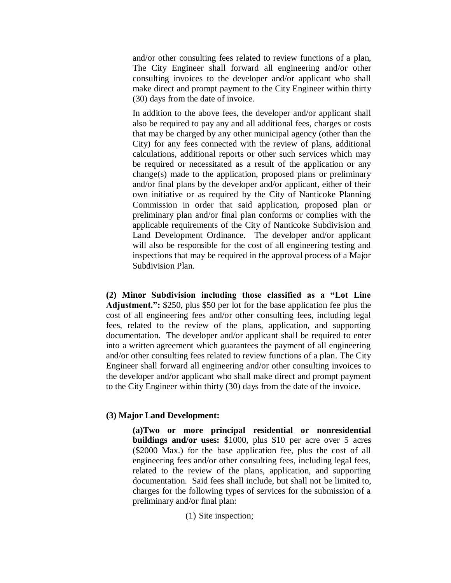and/or other consulting fees related to review functions of a plan, The City Engineer shall forward all engineering and/or other consulting invoices to the developer and/or applicant who shall make direct and prompt payment to the City Engineer within thirty (30) days from the date of invoice.

In addition to the above fees, the developer and/or applicant shall also be required to pay any and all additional fees, charges or costs that may be charged by any other municipal agency (other than the City) for any fees connected with the review of plans, additional calculations, additional reports or other such services which may be required or necessitated as a result of the application or any change(s) made to the application, proposed plans or preliminary and/or final plans by the developer and/or applicant, either of their own initiative or as required by the City of Nanticoke Planning Commission in order that said application, proposed plan or preliminary plan and/or final plan conforms or complies with the applicable requirements of the City of Nanticoke Subdivision and Land Development Ordinance. The developer and/or applicant will also be responsible for the cost of all engineering testing and inspections that may be required in the approval process of a Major Subdivision Plan.

**(2) Minor Subdivision including those classified as a "Lot Line Adjustment.":** \$250, plus \$50 per lot for the base application fee plus the cost of all engineering fees and/or other consulting fees, including legal fees, related to the review of the plans, application, and supporting documentation. The developer and/or applicant shall be required to enter into a written agreement which guarantees the payment of all engineering and/or other consulting fees related to review functions of a plan. The City Engineer shall forward all engineering and/or other consulting invoices to the developer and/or applicant who shall make direct and prompt payment to the City Engineer within thirty (30) days from the date of the invoice.

#### **(3) Major Land Development:**

**(a)Two or more principal residential or nonresidential buildings and/or uses:** \$1000, plus \$10 per acre over 5 acres (\$2000 Max.) for the base application fee, plus the cost of all engineering fees and/or other consulting fees, including legal fees, related to the review of the plans, application, and supporting documentation. Said fees shall include, but shall not be limited to, charges for the following types of services for the submission of a preliminary and/or final plan:

(1) Site inspection;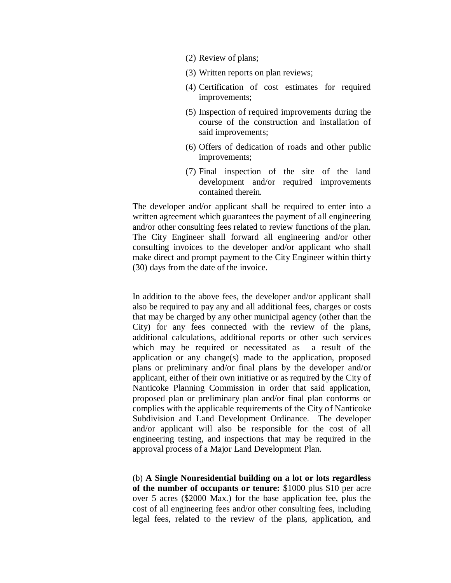- (2) Review of plans;
- (3) Written reports on plan reviews;
- (4) Certification of cost estimates for required improvements;
- (5) Inspection of required improvements during the course of the construction and installation of said improvements;
- (6) Offers of dedication of roads and other public improvements;
- (7) Final inspection of the site of the land development and/or required improvements contained therein.

The developer and/or applicant shall be required to enter into a written agreement which guarantees the payment of all engineering and/or other consulting fees related to review functions of the plan. The City Engineer shall forward all engineering and/or other consulting invoices to the developer and/or applicant who shall make direct and prompt payment to the City Engineer within thirty (30) days from the date of the invoice.

In addition to the above fees, the developer and/or applicant shall also be required to pay any and all additional fees, charges or costs that may be charged by any other municipal agency (other than the City) for any fees connected with the review of the plans, additional calculations, additional reports or other such services which may be required or necessitated as a result of the application or any change(s) made to the application, proposed plans or preliminary and/or final plans by the developer and/or applicant, either of their own initiative or as required by the City of Nanticoke Planning Commission in order that said application, proposed plan or preliminary plan and/or final plan conforms or complies with the applicable requirements of the City of Nanticoke Subdivision and Land Development Ordinance. The developer and/or applicant will also be responsible for the cost of all engineering testing, and inspections that may be required in the approval process of a Major Land Development Plan.

(b) **A Single Nonresidential building on a lot or lots regardless of the number of occupants or tenure:** \$1000 plus \$10 per acre over 5 acres (\$2000 Max.) for the base application fee, plus the cost of all engineering fees and/or other consulting fees, including legal fees, related to the review of the plans, application, and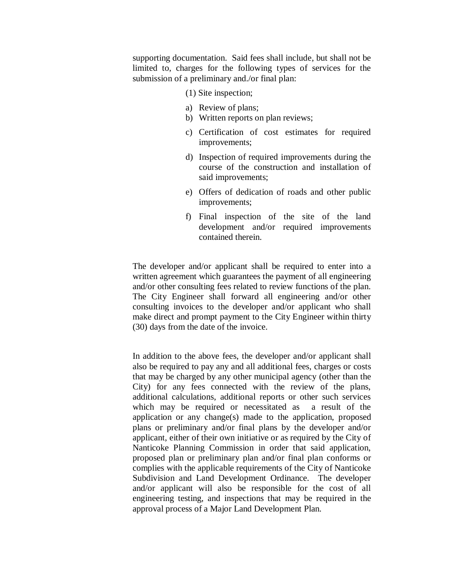supporting documentation. Said fees shall include, but shall not be limited to, charges for the following types of services for the submission of a preliminary and./or final plan:

- (1) Site inspection;
- a) Review of plans;
- b) Written reports on plan reviews;
- c) Certification of cost estimates for required improvements;
- d) Inspection of required improvements during the course of the construction and installation of said improvements;
- e) Offers of dedication of roads and other public improvements;
- f) Final inspection of the site of the land development and/or required improvements contained therein.

The developer and/or applicant shall be required to enter into a written agreement which guarantees the payment of all engineering and/or other consulting fees related to review functions of the plan. The City Engineer shall forward all engineering and/or other consulting invoices to the developer and/or applicant who shall make direct and prompt payment to the City Engineer within thirty (30) days from the date of the invoice.

In addition to the above fees, the developer and/or applicant shall also be required to pay any and all additional fees, charges or costs that may be charged by any other municipal agency (other than the City) for any fees connected with the review of the plans, additional calculations, additional reports or other such services which may be required or necessitated as a result of the application or any change(s) made to the application, proposed plans or preliminary and/or final plans by the developer and/or applicant, either of their own initiative or as required by the City of Nanticoke Planning Commission in order that said application, proposed plan or preliminary plan and/or final plan conforms or complies with the applicable requirements of the City of Nanticoke Subdivision and Land Development Ordinance. The developer and/or applicant will also be responsible for the cost of all engineering testing, and inspections that may be required in the approval process of a Major Land Development Plan.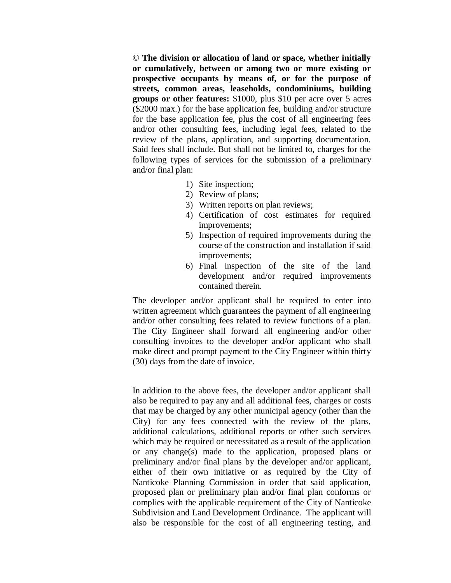© **The division or allocation of land or space, whether initially or cumulatively, between or among two or more existing or prospective occupants by means of, or for the purpose of streets, common areas, leaseholds, condominiums, building groups or other features:** \$1000, plus \$10 per acre over 5 acres (\$2000 max.) for the base application fee, building and/or structure for the base application fee, plus the cost of all engineering fees and/or other consulting fees, including legal fees, related to the review of the plans, application, and supporting documentation. Said fees shall include. But shall not be limited to, charges for the following types of services for the submission of a preliminary and/or final plan:

- 1) Site inspection;
- 2) Review of plans;
- 3) Written reports on plan reviews;
- 4) Certification of cost estimates for required improvements;
- 5) Inspection of required improvements during the course of the construction and installation if said improvements;
- 6) Final inspection of the site of the land development and/or required improvements contained therein.

The developer and/or applicant shall be required to enter into written agreement which guarantees the payment of all engineering and/or other consulting fees related to review functions of a plan. The City Engineer shall forward all engineering and/or other consulting invoices to the developer and/or applicant who shall make direct and prompt payment to the City Engineer within thirty (30) days from the date of invoice.

In addition to the above fees, the developer and/or applicant shall also be required to pay any and all additional fees, charges or costs that may be charged by any other municipal agency (other than the City) for any fees connected with the review of the plans, additional calculations, additional reports or other such services which may be required or necessitated as a result of the application or any change(s) made to the application, proposed plans or preliminary and/or final plans by the developer and/or applicant, either of their own initiative or as required by the City of Nanticoke Planning Commission in order that said application, proposed plan or preliminary plan and/or final plan conforms or complies with the applicable requirement of the City of Nanticoke Subdivision and Land Development Ordinance. The applicant will also be responsible for the cost of all engineering testing, and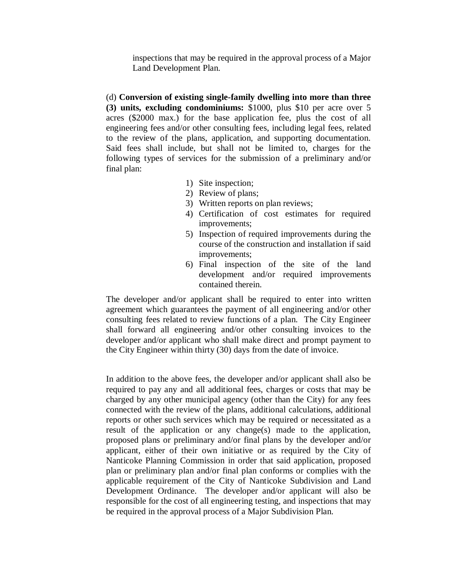inspections that may be required in the approval process of a Major Land Development Plan.

(d) **Conversion of existing single-family dwelling into more than three (3) units, excluding condominiums:** \$1000, plus \$10 per acre over 5 acres (\$2000 max.) for the base application fee, plus the cost of all engineering fees and/or other consulting fees, including legal fees, related to the review of the plans, application, and supporting documentation. Said fees shall include, but shall not be limited to, charges for the following types of services for the submission of a preliminary and/or final plan:

- 1) Site inspection;
- 2) Review of plans;
- 3) Written reports on plan reviews;
- 4) Certification of cost estimates for required improvements;
- 5) Inspection of required improvements during the course of the construction and installation if said improvements;
- 6) Final inspection of the site of the land development and/or required improvements contained therein.

The developer and/or applicant shall be required to enter into written agreement which guarantees the payment of all engineering and/or other consulting fees related to review functions of a plan. The City Engineer shall forward all engineering and/or other consulting invoices to the developer and/or applicant who shall make direct and prompt payment to the City Engineer within thirty (30) days from the date of invoice.

In addition to the above fees, the developer and/or applicant shall also be required to pay any and all additional fees, charges or costs that may be charged by any other municipal agency (other than the City) for any fees connected with the review of the plans, additional calculations, additional reports or other such services which may be required or necessitated as a result of the application or any change(s) made to the application, proposed plans or preliminary and/or final plans by the developer and/or applicant, either of their own initiative or as required by the City of Nanticoke Planning Commission in order that said application, proposed plan or preliminary plan and/or final plan conforms or complies with the applicable requirement of the City of Nanticoke Subdivision and Land Development Ordinance. The developer and/or applicant will also be responsible for the cost of all engineering testing, and inspections that may be required in the approval process of a Major Subdivision Plan.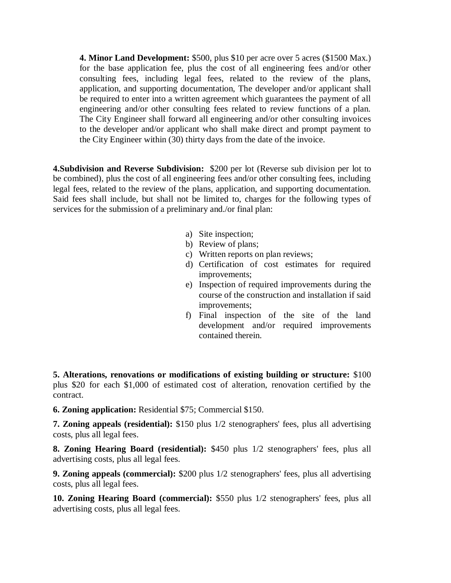**4. Minor Land Development:** \$500, plus \$10 per acre over 5 acres (\$1500 Max.) for the base application fee, plus the cost of all engineering fees and/or other consulting fees, including legal fees, related to the review of the plans, application, and supporting documentation, The developer and/or applicant shall be required to enter into a written agreement which guarantees the payment of all engineering and/or other consulting fees related to review functions of a plan. The City Engineer shall forward all engineering and/or other consulting invoices to the developer and/or applicant who shall make direct and prompt payment to the City Engineer within (30) thirty days from the date of the invoice.

**4.Subdivision and Reverse Subdivision:** \$200 per lot (Reverse sub division per lot to be combined), plus the cost of all engineering fees and/or other consulting fees, including legal fees, related to the review of the plans, application, and supporting documentation. Said fees shall include, but shall not be limited to, charges for the following types of services for the submission of a preliminary and./or final plan:

- a) Site inspection;
- b) Review of plans;
- c) Written reports on plan reviews;
- d) Certification of cost estimates for required improvements;
- e) Inspection of required improvements during the course of the construction and installation if said improvements;
- f) Final inspection of the site of the land development and/or required improvements contained therein.

**5. Alterations, renovations or modifications of existing building or structure:** \$100 plus \$20 for each \$1,000 of estimated cost of alteration, renovation certified by the contract.

**6. Zoning application:** Residential \$75; Commercial \$150.

**7. Zoning appeals (residential):** \$150 plus 1/2 stenographers' fees, plus all advertising costs, plus all legal fees.

**8. Zoning Hearing Board (residential):** \$450 plus 1/2 stenographers' fees, plus all advertising costs, plus all legal fees.

**9. Zoning appeals (commercial):** \$200 plus 1/2 stenographers' fees, plus all advertising costs, plus all legal fees.

**10. Zoning Hearing Board (commercial):** \$550 plus 1/2 stenographers' fees, plus all advertising costs, plus all legal fees.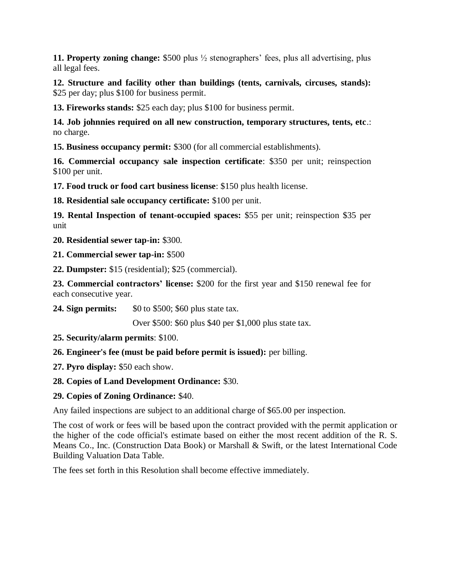**11. Property zoning change:** \$500 plus ½ stenographers' fees, plus all advertising, plus all legal fees.

**12. Structure and facility other than buildings (tents, carnivals, circuses, stands):** \$25 per day; plus \$100 for business permit.

**13. Fireworks stands:** \$25 each day; plus \$100 for business permit.

**14. Job johnnies required on all new construction, temporary structures, tents, etc**.: no charge.

**15. Business occupancy permit:** \$300 (for all commercial establishments).

**16. Commercial occupancy sale inspection certificate**: \$350 per unit; reinspection \$100 per unit.

**17. Food truck or food cart business license**: \$150 plus health license.

**18. Residential sale occupancy certificate:** \$100 per unit.

**19. Rental Inspection of tenant-occupied spaces:** \$55 per unit; reinspection \$35 per unit

**20. Residential sewer tap-in:** \$300.

**21. Commercial sewer tap-in:** \$500

**22. Dumpster:** \$15 (residential); \$25 (commercial).

**23. Commercial contractors' license:** \$200 for the first year and \$150 renewal fee for each consecutive year.

**24. Sign permits:** \$0 to \$500; \$60 plus state tax.

Over \$500: \$60 plus \$40 per \$1,000 plus state tax.

- **25. Security/alarm permits**: \$100.
- **26. Engineer's fee (must be paid before permit is issued):** per billing.
- **27. Pyro display:** \$50 each show.
- **28. Copies of Land Development Ordinance:** \$30.

# **29. Copies of Zoning Ordinance:** \$40.

Any failed inspections are subject to an additional charge of \$65.00 per inspection.

The cost of work or fees will be based upon the contract provided with the permit application or the higher of the code official's estimate based on either the most recent addition of the R. S. Means Co., Inc. (Construction Data Book) or Marshall & Swift, or the latest International Code Building Valuation Data Table.

The fees set forth in this Resolution shall become effective immediately.